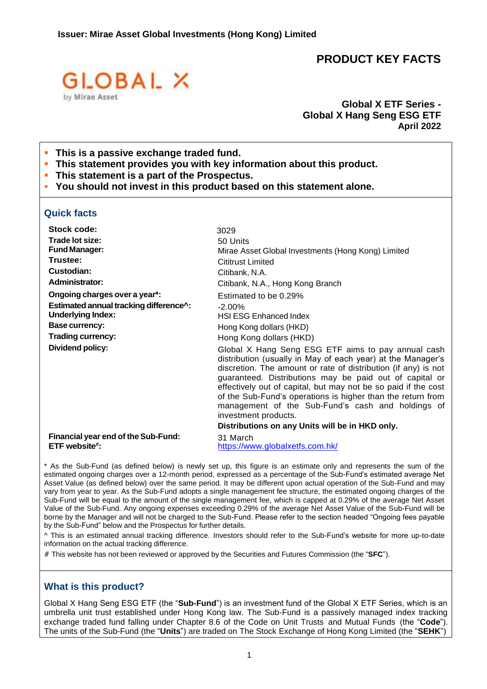# **PRODUCT KEY FACTS**



### **Global X ETF Series - Global X Hang Seng ESG ETF April 2022**

- **This is a passive exchange traded fund.**
- **This statement provides you with key information about this product.**
- **This statement is a part of the Prospectus.**
- **You should not invest in this product based on this statement alone.**

### **Quick facts**

| <b>Stock code:</b>                                   | 3029                                                                                                                                                                                                                                                                                                                                                                                                                                                         |
|------------------------------------------------------|--------------------------------------------------------------------------------------------------------------------------------------------------------------------------------------------------------------------------------------------------------------------------------------------------------------------------------------------------------------------------------------------------------------------------------------------------------------|
| Trade lot size:                                      | 50 Units                                                                                                                                                                                                                                                                                                                                                                                                                                                     |
| <b>Fund Manager:</b>                                 | Mirae Asset Global Investments (Hong Kong) Limited                                                                                                                                                                                                                                                                                                                                                                                                           |
| Trustee:                                             | <b>Cititrust Limited</b>                                                                                                                                                                                                                                                                                                                                                                                                                                     |
| Custodian:                                           | Citibank, N.A.                                                                                                                                                                                                                                                                                                                                                                                                                                               |
| <b>Administrator:</b>                                | Citibank, N.A., Hong Kong Branch                                                                                                                                                                                                                                                                                                                                                                                                                             |
| Ongoing charges over a year*:                        | Estimated to be 0.29%                                                                                                                                                                                                                                                                                                                                                                                                                                        |
| Estimated annual tracking difference^:               | $-2.00\%$                                                                                                                                                                                                                                                                                                                                                                                                                                                    |
| <b>Underlying Index:</b>                             | <b>HSI ESG Enhanced Index</b>                                                                                                                                                                                                                                                                                                                                                                                                                                |
| <b>Base currency:</b>                                | Hong Kong dollars (HKD)                                                                                                                                                                                                                                                                                                                                                                                                                                      |
| <b>Trading currency:</b>                             | Hong Kong dollars (HKD)                                                                                                                                                                                                                                                                                                                                                                                                                                      |
| Dividend policy:                                     | Global X Hang Seng ESG ETF aims to pay annual cash<br>distribution (usually in May of each year) at the Manager's<br>discretion. The amount or rate of distribution (if any) is not<br>guaranteed. Distributions may be paid out of capital or<br>effectively out of capital, but may not be so paid if the cost<br>of the Sub-Fund's operations is higher than the return from<br>management of the Sub-Fund's cash and holdings of<br>investment products. |
|                                                      | Distributions on any Units will be in HKD only.                                                                                                                                                                                                                                                                                                                                                                                                              |
| Financial year end of the Sub-Fund:<br>ETF website#: | 31 March<br>https://www.globalxetfs.com.hk/                                                                                                                                                                                                                                                                                                                                                                                                                  |

\* As the Sub-Fund (as defined below) is newly set up, this figure is an estimate only and represents the sum of the estimated ongoing charges over a 12-month period, expressed as a percentage of the Sub-Fund's estimated average Net Asset Value (as defined below) over the same period. It may be different upon actual operation of the Sub-Fund and may vary from year to year. As the Sub-Fund adopts a single management fee structure, the estimated ongoing charges of the Sub-Fund will be equal to the amount of the single management fee, which is capped at 0.29% of the average Net Asset Value of the Sub-Fund. Any ongoing expenses exceeding 0.29% of the average Net Asset Value of the Sub-Fund will be borne by the Manager and will not be charged to the Sub-Fund. Please refer to the section headed "Ongoing fees payable by the Sub-Fund" below and the Prospectus for further details.

^ This is an estimated annual tracking difference. Investors should refer to the Sub-Fund's website for more up-to-date information on the actual tracking difference.

# This website has not been reviewed or approved by the Securities and Futures Commission (the "**SFC**").

### **What is this product?**

Global X Hang Seng ESG ETF (the "**Sub-Fund**") is an investment fund of the Global X ETF Series, which is an umbrella unit trust established under Hong Kong law. The Sub-Fund is a passively managed index tracking exchange traded fund falling under Chapter 8.6 of the Code on Unit Trusts and Mutual Funds (the "**Code**"). The units of the Sub-Fund (the "**Units**") are traded on The Stock Exchange of Hong Kong Limited (the "**SEHK**")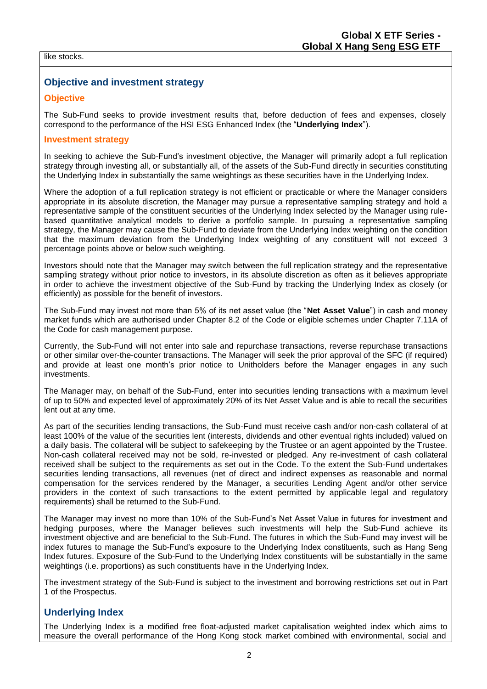#### like stocks.

# **Objective and investment strategy**

### **Objective**

The Sub-Fund seeks to provide investment results that, before deduction of fees and expenses, closely correspond to the performance of the HSI ESG Enhanced Index (the "**Underlying Index**").

### **Investment strategy**

In seeking to achieve the Sub-Fund's investment objective, the Manager will primarily adopt a full replication strategy through investing all, or substantially all, of the assets of the Sub-Fund directly in securities constituting the Underlying Index in substantially the same weightings as these securities have in the Underlying Index.

Where the adoption of a full replication strategy is not efficient or practicable or where the Manager considers appropriate in its absolute discretion, the Manager may pursue a representative sampling strategy and hold a representative sample of the constituent securities of the Underlying Index selected by the Manager using rulebased quantitative analytical models to derive a portfolio sample. In pursuing a representative sampling strategy, the Manager may cause the Sub-Fund to deviate from the Underlying Index weighting on the condition that the maximum deviation from the Underlying Index weighting of any constituent will not exceed 3 percentage points above or below such weighting.

Investors should note that the Manager may switch between the full replication strategy and the representative sampling strategy without prior notice to investors, in its absolute discretion as often as it believes appropriate in order to achieve the investment objective of the Sub-Fund by tracking the Underlying Index as closely (or efficiently) as possible for the benefit of investors.

The Sub-Fund may invest not more than 5% of its net asset value (the "**Net Asset Value**") in cash and money market funds which are authorised under Chapter 8.2 of the Code or eligible schemes under Chapter 7.11A of the Code for cash management purpose.

Currently, the Sub-Fund will not enter into sale and repurchase transactions, reverse repurchase transactions or other similar over-the-counter transactions. The Manager will seek the prior approval of the SFC (if required) and provide at least one month's prior notice to Unitholders before the Manager engages in any such investments.

The Manager may, on behalf of the Sub-Fund, enter into securities lending transactions with a maximum level of up to 50% and expected level of approximately 20% of its Net Asset Value and is able to recall the securities lent out at any time.

As part of the securities lending transactions, the Sub-Fund must receive cash and/or non-cash collateral of at least 100% of the value of the securities lent (interests, dividends and other eventual rights included) valued on a daily basis. The collateral will be subject to safekeeping by the Trustee or an agent appointed by the Trustee. Non-cash collateral received may not be sold, re-invested or pledged. Any re-investment of cash collateral received shall be subject to the requirements as set out in the Code. To the extent the Sub-Fund undertakes securities lending transactions, all revenues (net of direct and indirect expenses as reasonable and normal compensation for the services rendered by the Manager, a securities Lending Agent and/or other service providers in the context of such transactions to the extent permitted by applicable legal and regulatory requirements) shall be returned to the Sub-Fund.

The Manager may invest no more than 10% of the Sub-Fund's Net Asset Value in futures for investment and hedging purposes, where the Manager believes such investments will help the Sub-Fund achieve its investment objective and are beneficial to the Sub-Fund. The futures in which the Sub-Fund may invest will be index futures to manage the Sub-Fund's exposure to the Underlying Index constituents, such as Hang Seng Index futures. Exposure of the Sub-Fund to the Underlying Index constituents will be substantially in the same weightings (i.e. proportions) as such constituents have in the Underlying Index.

The investment strategy of the Sub-Fund is subject to the investment and borrowing restrictions set out in Part 1 of the Prospectus.

### **Underlying Index**

The Underlying Index is a modified free float-adjusted market capitalisation weighted index which aims to measure the overall performance of the Hong Kong stock market combined with environmental, social and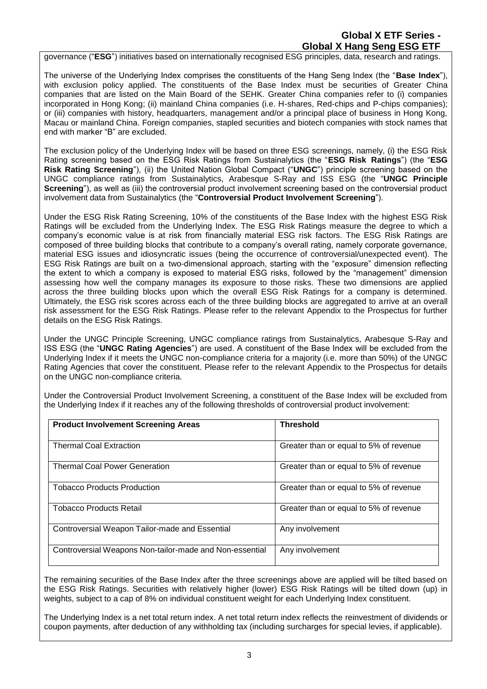# **Global X ETF Series - Global X Hang Seng ESG ETF**

governance ("**ESG**") initiatives based on internationally recognised ESG principles, data, research and ratings.

The universe of the Underlying Index comprises the constituents of the Hang Seng Index (the "**Base Index**"), with exclusion policy applied. The constituents of the Base Index must be securities of Greater China companies that are listed on the Main Board of the SEHK. Greater China companies refer to (i) companies incorporated in Hong Kong; (ii) mainland China companies (i.e. H-shares, Red-chips and P-chips companies); or (iii) companies with history, headquarters, management and/or a principal place of business in Hong Kong, Macau or mainland China. Foreign companies, stapled securities and biotech companies with stock names that end with marker "B" are excluded.

The exclusion policy of the Underlying Index will be based on three ESG screenings, namely, (i) the ESG Risk Rating screening based on the ESG Risk Ratings from Sustainalytics (the "**ESG Risk Ratings**") (the "**ESG Risk Rating Screening**"), (ii) the United Nation Global Compact ("**UNGC**") principle screening based on the UNGC compliance ratings from Sustainalytics, Arabesque S-Ray and ISS ESG (the "**UNGC Principle Screening**"), as well as (iii) the controversial product involvement screening based on the controversial product involvement data from Sustainalytics (the "**Controversial Product Involvement Screening**").

Under the ESG Risk Rating Screening, 10% of the constituents of the Base Index with the highest ESG Risk Ratings will be excluded from the Underlying Index. The ESG Risk Ratings measure the degree to which a company's economic value is at risk from financially material ESG risk factors. The ESG Risk Ratings are composed of three building blocks that contribute to a company's overall rating, namely corporate governance, material ESG issues and idiosyncratic issues (being the occurrence of controversial/unexpected event). The ESG Risk Ratings are built on a two-dimensional approach, starting with the "exposure" dimension reflecting the extent to which a company is exposed to material ESG risks, followed by the "management" dimension assessing how well the company manages its exposure to those risks. These two dimensions are applied across the three building blocks upon which the overall ESG Risk Ratings for a company is determined. Ultimately, the ESG risk scores across each of the three building blocks are aggregated to arrive at an overall risk assessment for the ESG Risk Ratings. Please refer to the relevant Appendix to the Prospectus for further details on the ESG Risk Ratings.

Under the UNGC Principle Screening, UNGC compliance ratings from Sustainalytics, Arabesque S-Ray and ISS ESG (the "**UNGC Rating Agencies**") are used. A constituent of the Base Index will be excluded from the Underlying Index if it meets the UNGC non-compliance criteria for a majority (i.e. more than 50%) of the UNGC Rating Agencies that cover the constituent. Please refer to the relevant Appendix to the Prospectus for details on the UNGC non-compliance criteria.

Under the Controversial Product Involvement Screening, a constituent of the Base Index will be excluded from the Underlying Index if it reaches any of the following thresholds of controversial product involvement:

| <b>Product Involvement Screening Areas</b>              | <b>Threshold</b>                       |
|---------------------------------------------------------|----------------------------------------|
| <b>Thermal Coal Extraction</b>                          | Greater than or equal to 5% of revenue |
| <b>Thermal Coal Power Generation</b>                    | Greater than or equal to 5% of revenue |
| <b>Tobacco Products Production</b>                      | Greater than or equal to 5% of revenue |
| <b>Tobacco Products Retail</b>                          | Greater than or equal to 5% of revenue |
| Controversial Weapon Tailor-made and Essential          | Any involvement                        |
| Controversial Weapons Non-tailor-made and Non-essential | Any involvement                        |

The remaining securities of the Base Index after the three screenings above are applied will be tilted based on the ESG Risk Ratings. Securities with relatively higher (lower) ESG Risk Ratings will be tilted down (up) in weights, subject to a cap of 8% on individual constituent weight for each Underlying Index constituent.

The Underlying Index is a net total return index. A net total return index reflects the reinvestment of dividends or coupon payments, after deduction of any withholding tax (including surcharges for special levies, if applicable).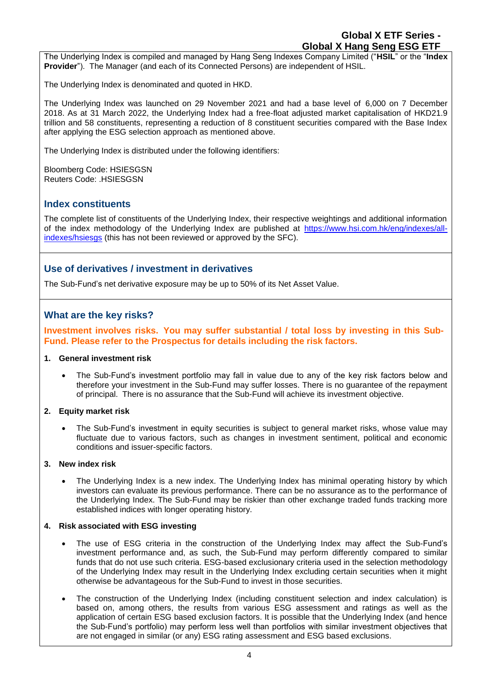The Underlying Index is compiled and managed by Hang Seng Indexes Company Limited ("**HSIL**" or the "**Index Provider**"). The Manager (and each of its Connected Persons) are independent of HSIL.

The Underlying Index is denominated and quoted in HKD.

The Underlying Index was launched on 29 November 2021 and had a base level of 6,000 on 7 December 2018. As at 31 March 2022, the Underlying Index had a free-float adjusted market capitalisation of HKD21.9 trillion and 58 constituents, representing a reduction of 8 constituent securities compared with the Base Index after applying the ESG selection approach as mentioned above.

The Underlying Index is distributed under the following identifiers:

Bloomberg Code: HSIESGSN Reuters Code: .HSIESGSN

### **Index constituents**

The complete list of constituents of the Underlying Index, their respective weightings and additional information of the index methodology of the Underlying Index are published at [https://www.hsi.com.hk/eng/indexes/all](https://www.hsi.com.hk/eng/indexes/all-indexes/hsiesgs)[indexes/hsiesgs](https://www.hsi.com.hk/eng/indexes/all-indexes/hsiesgs) (this has not been reviewed or approved by the SFC).

# **Use of derivatives / investment in derivatives**

The Sub-Fund's net derivative exposure may be up to 50% of its Net Asset Value.

# **What are the key risks?**

**Investment involves risks. You may suffer substantial / total loss by investing in this Sub-Fund. Please refer to the Prospectus for details including the risk factors.**

#### **1. General investment risk**

• The Sub-Fund's investment portfolio may fall in value due to any of the key risk factors below and therefore your investment in the Sub-Fund may suffer losses. There is no guarantee of the repayment of principal. There is no assurance that the Sub-Fund will achieve its investment objective.

### **2. Equity market risk**

• The Sub-Fund's investment in equity securities is subject to general market risks, whose value may fluctuate due to various factors, such as changes in investment sentiment, political and economic conditions and issuer-specific factors.

#### **3. New index risk**

• The Underlying Index is a new index. The Underlying Index has minimal operating history by which investors can evaluate its previous performance. There can be no assurance as to the performance of the Underlying Index. The Sub-Fund may be riskier than other exchange traded funds tracking more established indices with longer operating history.

#### **4. Risk associated with ESG investing**

- The use of ESG criteria in the construction of the Underlying Index may affect the Sub-Fund's investment performance and, as such, the Sub-Fund may perform differently compared to similar funds that do not use such criteria. ESG-based exclusionary criteria used in the selection methodology of the Underlying Index may result in the Underlying Index excluding certain securities when it might otherwise be advantageous for the Sub-Fund to invest in those securities.
- The construction of the Underlying Index (including constituent selection and index calculation) is based on, among others, the results from various ESG assessment and ratings as well as the application of certain ESG based exclusion factors. It is possible that the Underlying Index (and hence the Sub-Fund's portfolio) may perform less well than portfolios with similar investment objectives that are not engaged in similar (or any) ESG rating assessment and ESG based exclusions.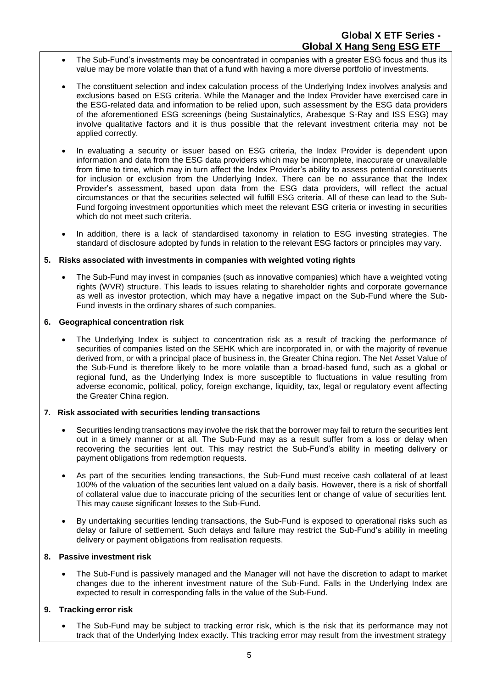- The Sub-Fund's investments may be concentrated in companies with a greater ESG focus and thus its value may be more volatile than that of a fund with having a more diverse portfolio of investments.
- The constituent selection and index calculation process of the Underlying Index involves analysis and exclusions based on ESG criteria. While the Manager and the Index Provider have exercised care in the ESG-related data and information to be relied upon, such assessment by the ESG data providers of the aforementioned ESG screenings (being Sustainalytics, Arabesque S-Ray and ISS ESG) may involve qualitative factors and it is thus possible that the relevant investment criteria may not be applied correctly.
- In evaluating a security or issuer based on ESG criteria, the Index Provider is dependent upon information and data from the ESG data providers which may be incomplete, inaccurate or unavailable from time to time, which may in turn affect the Index Provider's ability to assess potential constituents for inclusion or exclusion from the Underlying Index. There can be no assurance that the Index Provider's assessment, based upon data from the ESG data providers, will reflect the actual circumstances or that the securities selected will fulfill ESG criteria. All of these can lead to the Sub-Fund forgoing investment opportunities which meet the relevant ESG criteria or investing in securities which do not meet such criteria.
- In addition, there is a lack of standardised taxonomy in relation to ESG investing strategies. The standard of disclosure adopted by funds in relation to the relevant ESG factors or principles may vary.

#### **5. Risks associated with investments in companies with weighted voting rights**

• The Sub-Fund may invest in companies (such as innovative companies) which have a weighted voting rights (WVR) structure. This leads to issues relating to shareholder rights and corporate governance as well as investor protection, which may have a negative impact on the Sub-Fund where the Sub-Fund invests in the ordinary shares of such companies.

#### **6. Geographical concentration risk**

The Underlying Index is subject to concentration risk as a result of tracking the performance of securities of companies listed on the SEHK which are incorporated in, or with the majority of revenue derived from, or with a principal place of business in, the Greater China region. The Net Asset Value of the Sub-Fund is therefore likely to be more volatile than a broad-based fund, such as a global or regional fund, as the Underlying Index is more susceptible to fluctuations in value resulting from adverse economic, political, policy, foreign exchange, liquidity, tax, legal or regulatory event affecting the Greater China region.

### **7. Risk associated with securities lending transactions**

- Securities lending transactions may involve the risk that the borrower may fail to return the securities lent out in a timely manner or at all. The Sub-Fund may as a result suffer from a loss or delay when recovering the securities lent out. This may restrict the Sub-Fund's ability in meeting delivery or payment obligations from redemption requests.
- As part of the securities lending transactions, the Sub-Fund must receive cash collateral of at least 100% of the valuation of the securities lent valued on a daily basis. However, there is a risk of shortfall of collateral value due to inaccurate pricing of the securities lent or change of value of securities lent. This may cause significant losses to the Sub-Fund.
- By undertaking securities lending transactions, the Sub-Fund is exposed to operational risks such as delay or failure of settlement. Such delays and failure may restrict the Sub-Fund's ability in meeting delivery or payment obligations from realisation requests.

### **8. Passive investment risk**

• The Sub-Fund is passively managed and the Manager will not have the discretion to adapt to market changes due to the inherent investment nature of the Sub-Fund. Falls in the Underlying Index are expected to result in corresponding falls in the value of the Sub-Fund.

### **9. Tracking error risk**

• The Sub-Fund may be subject to tracking error risk, which is the risk that its performance may not track that of the Underlying Index exactly. This tracking error may result from the investment strategy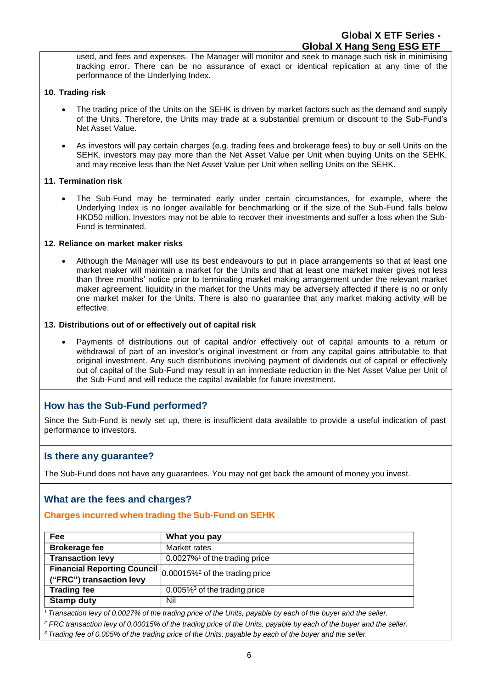used, and fees and expenses. The Manager will monitor and seek to manage such risk in minimising tracking error. There can be no assurance of exact or identical replication at any time of the performance of the Underlying Index.

### **10. Trading risk**

- The trading price of the Units on the SEHK is driven by market factors such as the demand and supply of the Units. Therefore, the Units may trade at a substantial premium or discount to the Sub-Fund's Net Asset Value.
- As investors will pay certain charges (e.g. trading fees and brokerage fees) to buy or sell Units on the SEHK, investors may pay more than the Net Asset Value per Unit when buying Units on the SEHK, and may receive less than the Net Asset Value per Unit when selling Units on the SEHK.

### **11. Termination risk**

• The Sub-Fund may be terminated early under certain circumstances, for example, where the Underlying Index is no longer available for benchmarking or if the size of the Sub-Fund falls below HKD50 million. Investors may not be able to recover their investments and suffer a loss when the Sub-Fund is terminated.

#### **12. Reliance on market maker risks**

• Although the Manager will use its best endeavours to put in place arrangements so that at least one market maker will maintain a market for the Units and that at least one market maker gives not less than three months' notice prior to terminating market making arrangement under the relevant market maker agreement, liquidity in the market for the Units may be adversely affected if there is no or only one market maker for the Units. There is also no guarantee that any market making activity will be effective.

#### **13. Distributions out of or effectively out of capital risk**

• Payments of distributions out of capital and/or effectively out of capital amounts to a return or withdrawal of part of an investor's original investment or from any capital gains attributable to that original investment. Any such distributions involving payment of dividends out of capital or effectively out of capital of the Sub-Fund may result in an immediate reduction in the Net Asset Value per Unit of the Sub-Fund and will reduce the capital available for future investment.

# **How has the Sub-Fund performed?**

Since the Sub-Fund is newly set up, there is insufficient data available to provide a useful indication of past performance to investors.

### **Is there any guarantee?**

The Sub-Fund does not have any guarantees. You may not get back the amount of money you invest.

### **What are the fees and charges?**

### **Charges incurred when trading the Sub-Fund on SEHK**

| Fee                                                                | What you pay                                 |
|--------------------------------------------------------------------|----------------------------------------------|
| <b>Brokerage fee</b>                                               | Market rates                                 |
| <b>Transaction levy</b>                                            | $0.0027\%$ <sup>1</sup> of the trading price |
| Financial Reporting Council $ _{0.00015\%^2}$ of the trading price |                                              |
| ("FRC") transaction levy                                           |                                              |
| <b>Trading fee</b>                                                 | $0.005\%$ <sup>3</sup> of the trading price  |
| <b>Stamp duty</b>                                                  | Nil                                          |

<sup>1</sup> Transaction levy of 0.0027% of the trading price of the Units, payable by each of the buyer and the seller.

<sup>2</sup> FRC transaction levy of 0.00015% of the trading price of the Units, payable by each of the buyer and the seller.

<sup>3</sup> Trading fee of 0.005% of the trading price of the Units, payable by each of the buyer and the seller.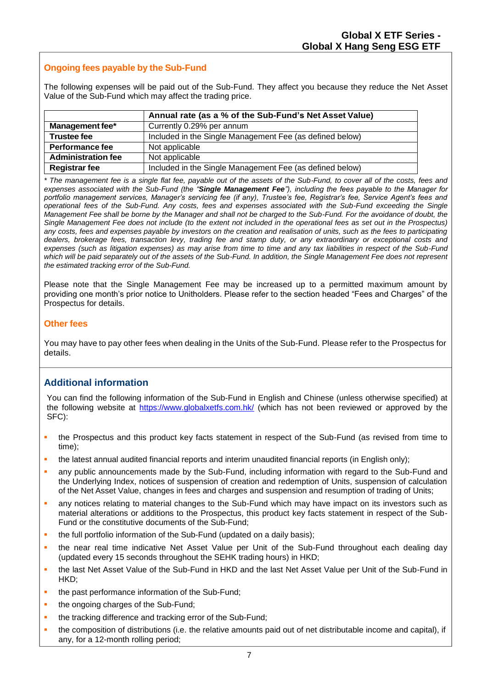# **Ongoing fees payable by the Sub-Fund**

The following expenses will be paid out of the Sub-Fund. They affect you because they reduce the Net Asset Value of the Sub-Fund which may affect the trading price.

|                           | Annual rate (as a % of the Sub-Fund's Net Asset Value)   |
|---------------------------|----------------------------------------------------------|
| Management fee*           | Currently 0.29% per annum                                |
| <b>Trustee fee</b>        | Included in the Single Management Fee (as defined below) |
| Performance fee           | Not applicable                                           |
| <b>Administration fee</b> | Not applicable                                           |
| <b>Registrar fee</b>      | Included in the Single Management Fee (as defined below) |

*\* The management fee is a single flat fee, payable out of the assets of the Sub-Fund, to cover all of the costs, fees and expenses associated with the Sub-Fund (the "Single Management Fee"), including the fees payable to the Manager for portfolio management services, Manager's servicing fee (if any), Trustee's fee, Registrar's fee, Service Agent's fees and operational fees of the Sub-Fund. Any costs, fees and expenses associated with the Sub-Fund exceeding the Single Management Fee shall be borne by the Manager and shall not be charged to the Sub-Fund. For the avoidance of doubt, the Single Management Fee does not include (to the extent not included in the operational fees as set out in the Prospectus) any costs, fees and expenses payable by investors on the creation and realisation of units, such as the fees to participating dealers, brokerage fees, transaction levy, trading fee and stamp duty, or any extraordinary or exceptional costs and expenses (such as litigation expenses) as may arise from time to time and any tax liabilities in respect of the Sub-Fund which will be paid separately out of the assets of the Sub-Fund. In addition, the Single Management Fee does not represent the estimated tracking error of the Sub-Fund.*

Please note that the Single Management Fee may be increased up to a permitted maximum amount by providing one month's prior notice to Unitholders. Please refer to the section headed "Fees and Charges" of the Prospectus for details.

### **Other fees**

You may have to pay other fees when dealing in the Units of the Sub-Fund. Please refer to the Prospectus for details.

# **Additional information**

You can find the following information of the Sub-Fund in English and Chinese (unless otherwise specified) at the following website at<https://www.globalxetfs.com.hk/> (which has not been reviewed or approved by the SFC):

- the Prospectus and this product key facts statement in respect of the Sub-Fund (as revised from time to time);
- the latest annual audited financial reports and interim unaudited financial reports (in English only);
- **•** any public announcements made by the Sub-Fund, including information with regard to the Sub-Fund and the Underlying Index, notices of suspension of creation and redemption of Units, suspension of calculation of the Net Asset Value, changes in fees and charges and suspension and resumption of trading of Units;
- any notices relating to material changes to the Sub-Fund which may have impact on its investors such as material alterations or additions to the Prospectus, this product key facts statement in respect of the Sub-Fund or the constitutive documents of the Sub-Fund;
- the full portfolio information of the Sub-Fund (updated on a daily basis);
- the near real time indicative Net Asset Value per Unit of the Sub-Fund throughout each dealing day (updated every 15 seconds throughout the SEHK trading hours) in HKD;
- the last Net Asset Value of the Sub-Fund in HKD and the last Net Asset Value per Unit of the Sub-Fund in HKD;
- the past performance information of the Sub-Fund;
- the ongoing charges of the Sub-Fund;
- the tracking difference and tracking error of the Sub-Fund;
- the composition of distributions (i.e. the relative amounts paid out of net distributable income and capital), if any, for a 12-month rolling period;